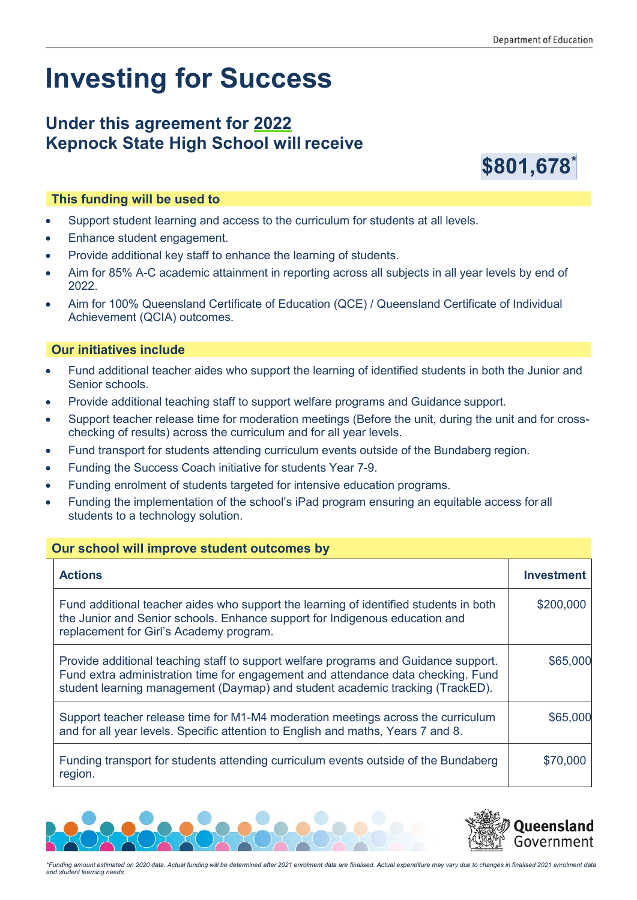# **Investing for Success**

## **Under this agreement for 2022 Kepnock State High School willreceive**



### **This funding will be used to**

- Support student learning and access to the curriculum for students at all levels.
- Enhance student engagement.
- Provide additional key staff to enhance the learning of students.
- Aim for 85% A-C academic attainment in reporting across all subjects in all year levels by end of 2022.
- Aim for 100% Queensland Certificate of Education (QCE) / Queensland Certificate of Individual Achievement (QCIA) outcomes.

#### **Our initiatives include**

- Fund additional teacher aides who support the learning of identified students in both the Junior and Senior schools.
- Provide additional teaching staff to support welfare programs and Guidance support.
- Support teacher release time for moderation meetings (Before the unit, during the unit and for crosschecking of results) across the curriculum and for all year levels.
- Fund transport for students attending curriculum events outside of the Bundaberg region.
- Funding the Success Coach initiative for students Year 7-9.
- Funding enrolment of students targeted for intensive education programs.
- Funding the implementation of the school's iPad program ensuring an equitable access for all students to a technology solution.

#### **Our school will improve student outcomes by**

| <b>Actions</b>                                                                                                                                                                                                                                           | <b>Investment</b> |
|----------------------------------------------------------------------------------------------------------------------------------------------------------------------------------------------------------------------------------------------------------|-------------------|
| Fund additional teacher aides who support the learning of identified students in both<br>the Junior and Senior schools. Enhance support for Indigenous education and<br>replacement for Girl's Academy program.                                          | \$200,000         |
| Provide additional teaching staff to support welfare programs and Guidance support.<br>Fund extra administration time for engagement and attendance data checking. Fund<br>student learning management (Daymap) and student academic tracking (TrackED). | \$65,000          |
| Support teacher release time for M1-M4 moderation meetings across the curriculum<br>and for all year levels. Specific attention to English and maths, Years 7 and 8.                                                                                     | \$65,000          |
| Funding transport for students attending curriculum events outside of the Bundaberg<br>region.                                                                                                                                                           | \$70,000          |